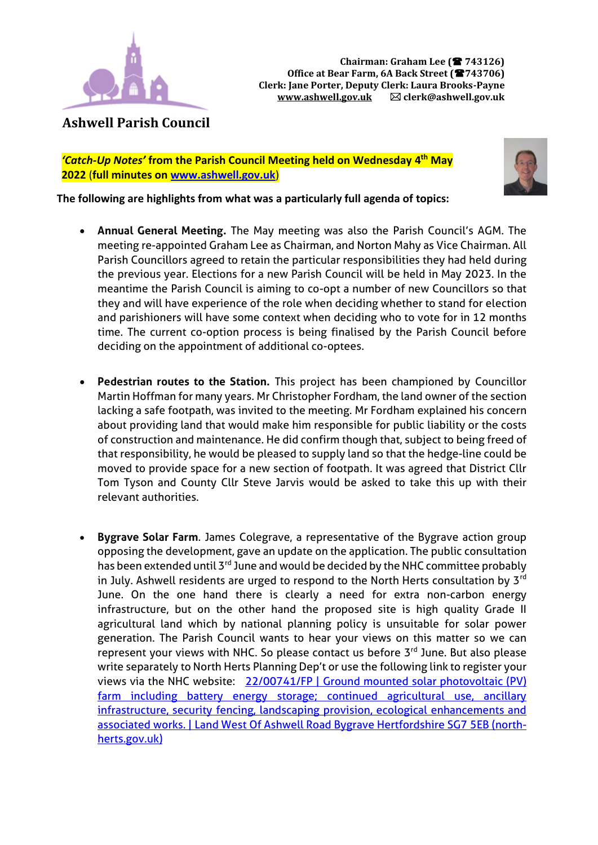

**Ashwell Parish Council**

*'Catch-Up Notes'* **from the Parish Council Meeting held on Wednesday 4 th May 2022** (**full minutes o[n www.ashwell.gov.uk](http://www.ashwell.gov.uk/)**)



**The following are highlights from what was a particularly full agenda of topics:** 

- **Annual General Meeting.** The May meeting was also the Parish Council's AGM. The meeting re-appointed Graham Lee as Chairman, and Norton Mahy as Vice Chairman. All Parish Councillors agreed to retain the particular responsibilities they had held during the previous year. Elections for a new Parish Council will be held in May 2023. In the meantime the Parish Council is aiming to co-opt a number of new Councillors so that they and will have experience of the role when deciding whether to stand for election and parishioners will have some context when deciding who to vote for in 12 months time. The current co-option process is being finalised by the Parish Council before deciding on the appointment of additional co-optees.
- **Pedestrian routes to the Station.** This project has been championed by Councillor Martin Hoffman for many years. Mr Christopher Fordham, the land owner of the section lacking a safe footpath, was invited to the meeting. Mr Fordham explained his concern about providing land that would make him responsible for public liability or the costs of construction and maintenance. He did confirm though that, subject to being freed of that responsibility, he would be pleased to supply land so that the hedge-line could be moved to provide space for a new section of footpath. It was agreed that District Cllr Tom Tyson and County Cllr Steve Jarvis would be asked to take this up with their relevant authorities.
- **Bygrave Solar Farm**. James Colegrave, a representative of the Bygrave action group opposing the development, gave an update on the application. The public consultation has been extended until 3<sup>rd</sup> June and would be decided by the NHC committee probably in July. Ashwell residents are urged to respond to the North Herts consultation by  $3^{rd}$ June. On the one hand there is clearly a need for extra non-carbon energy infrastructure, but on the other hand the proposed site is high quality Grade II agricultural land which by national planning policy is unsuitable for solar power generation. The Parish Council wants to hear your views on this matter so we can represent your views with NHC. So please contact us before 3<sup>rd</sup> June. But also please write separately to North Herts Planning Dep't or use the following link to register your views via the NHC website: [22/00741/FP | Ground mounted solar photovoltaic \(PV\)](https://pa2.north-herts.gov.uk/online-applications/applicationDetails.do?keyVal=R8QW8QLKK8Q00&activeTab=summary)  [farm including battery energy storage; continued agricultural use, ancillary](https://pa2.north-herts.gov.uk/online-applications/applicationDetails.do?keyVal=R8QW8QLKK8Q00&activeTab=summary)  [infrastructure, security fencing, landscaping provision, ecological enhancements and](https://pa2.north-herts.gov.uk/online-applications/applicationDetails.do?keyVal=R8QW8QLKK8Q00&activeTab=summary)  [associated works. | Land West Of Ashwell Road Bygrave Hertfordshire SG7 5EB \(north](https://pa2.north-herts.gov.uk/online-applications/applicationDetails.do?keyVal=R8QW8QLKK8Q00&activeTab=summary)[herts.gov.uk\)](https://pa2.north-herts.gov.uk/online-applications/applicationDetails.do?keyVal=R8QW8QLKK8Q00&activeTab=summary)